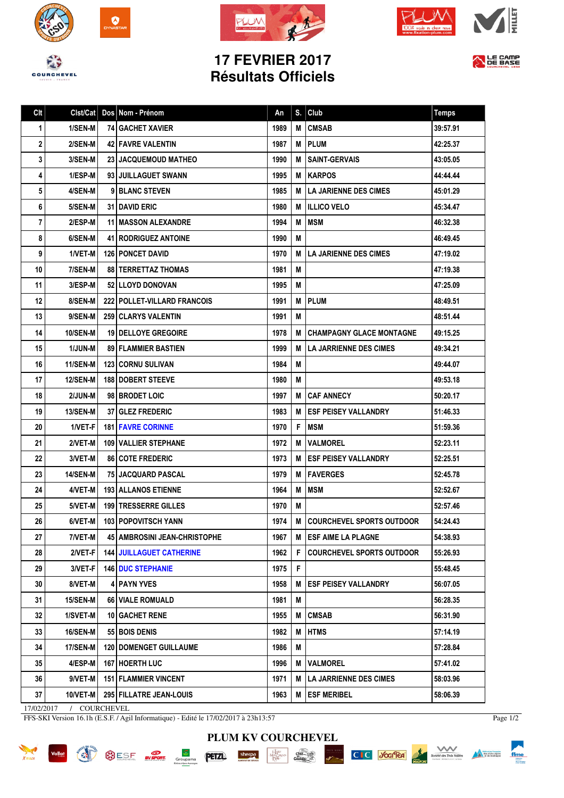







## **17 FEVRIER 2017 Résultats Officiels**



| Clt | Clst/Cat        | Dos Nom - Prénom                | An   | S. | Club                             | <b>Temps</b> |
|-----|-----------------|---------------------------------|------|----|----------------------------------|--------------|
| 1   | 1/SEN-M         | <b>74 GACHET XAVIER</b>         | 1989 | M  | <b>CMSAB</b>                     | 39:57.91     |
| 2   | 2/SEN-M         | <b>42 FAVRE VALENTIN</b>        | 1987 | м  | <b>PLUM</b>                      | 42:25.37     |
| 3   | 3/SEN-M         | 23 JACQUEMOUD MATHEO            | 1990 | M  | <b>SAINT-GERVAIS</b>             | 43:05.05     |
| 4   | 1/ESP-M         | 93 JUILLAGUET SWANN             | 1995 | м  | <b>IKARPOS</b>                   | 44:44.44     |
| 5   | 4/SEN-M         | 9 BLANC STEVEN                  | 1985 | М  | <b>ILA JARIENNE DES CIMES</b>    | 45:01.29     |
| 6   | 5/SEN-M         | <b>31 I DAVID ERIC</b>          | 1980 | м  | <b>IILLICO VELO</b>              | 45:34.47     |
| 7   | 2/ESP-M         | 11 MASSON ALEXANDRE             | 1994 | M  | <b>IMSM</b>                      | 46:32.38     |
| 8   | 6/SEN-M         | <b>41   RODRIGUEZ ANTOINE</b>   | 1990 | M  |                                  | 46:49.45     |
| 9   | 1/VET-M         | 126 PONCET DAVID                | 1970 | M  | LA JARIENNE DES CIMES            | 47:19.02     |
| 10  | 7/SEN-M         | <b>88   TERRETTAZ THOMAS</b>    | 1981 | M  |                                  | 47:19.38     |
| 11  | 3/ESP-M         | <b>52 LLOYD DONOVAN</b>         | 1995 | M  |                                  | 47:25.09     |
| 12  | 8/SEN-M         | 222   POLLET-VILLARD FRANCOIS   | 1991 | M  | PLUM                             | 48:49.51     |
| 13  | 9/SEN-M         | <b>259 CLARYS VALENTIN</b>      | 1991 | M  |                                  | 48:51.44     |
| 14  | <b>10/SEN-M</b> | <b>19 I DELLOYE GREGOIRE</b>    | 1978 | M  | <b>CHAMPAGNY GLACE MONTAGNE</b>  | 49:15.25     |
| 15  | <b>1/JUN-M</b>  | <b>89 FLAMMIER BASTIEN</b>      | 1999 | М  | LA JARRIENNE DES CIMES           | 49:34.21     |
| 16  | <b>11/SEN-M</b> | <b>123 CORNU SULIVAN</b>        | 1984 | M  |                                  | 49:44.07     |
| 17  | <b>12/SEN-M</b> | <b>188   DOBERT STEEVE</b>      | 1980 | М  |                                  | 49:53.18     |
| 18  | 2/JUN-M         | 98 BRODET LOIC                  | 1997 | M  | <b>CAF ANNECY</b>                | 50:20.17     |
| 19  | <b>13/SEN-M</b> | <b>37 GLEZ FREDERIC</b>         | 1983 | м  | <b>I ESF PEISEY VALLANDRY</b>    | 51:46.33     |
| 20  | 1/VET-F         | <b>181 FAVRE CORINNE</b>        | 1970 | F  | <b>IMSM</b>                      | 51:59.36     |
| 21  | 2/VET-M         | <b>109   VALLIER STEPHANE</b>   | 1972 | M  | <b>VALMOREL</b>                  | 52:23.11     |
| 22  | 3/VET-M         | <b>86 COTE FREDERIC</b>         | 1973 | М  | <b>ESF PEISEY VALLANDRY</b>      | 52:25.51     |
| 23  | 14/SEN-M        | <b>75 JACQUARD PASCAL</b>       | 1979 | М  | <b>FAVERGES</b>                  | 52:45.78     |
| 24  | 4/VET-M         | <b>193 ALLANOS ETIENNE</b>      | 1964 | М  | <b>MSM</b>                       | 52:52.67     |
| 25  | 5/VET-M         | <b>199   TRESSERRE GILLES</b>   | 1970 | M  |                                  | 52:57.46     |
| 26  | 6/VET-M         | 103 POPOVITSCH YANN             | 1974 | М  | <b>COURCHEVEL SPORTS OUTDOOR</b> | 54:24.43     |
| 27  | 7/VET-M         | 45   AMBROSINI JEAN-CHRISTOPHE  | 1967 | M  | <b>ESF AIME LA PLAGNE</b>        | 54:38.93     |
| 28  | 2/VET-F         | <b>144 JUILLAGUET CATHERINE</b> | 1962 | F. | <b>COURCHEVEL SPORTS OUTDOOR</b> | 55:26.93     |
| 29  | 3/VET-F         | <b>146 DUC STEPHANIE</b>        | 1975 | F. |                                  | 55:48.45     |
| 30  | 8/VET-M         | 4 PAYN YVES                     | 1958 | M  | <b>ESF PEISEY VALLANDRY</b>      | 56:07.05     |
| 31  | 15/SEN-M        | <b>66 VIALE ROMUALD</b>         | 1981 | Μ  |                                  | 56:28.35     |
| 32  | 1/SVET-M        | <b>10 GACHET RENE</b>           | 1955 | M  | <b>CMSAB</b>                     | 56:31.90     |
| 33  | 16/SEN-M        | 55 BOIS DENIS                   | 1982 | М  | <b>HTMS</b>                      | 57:14.19     |
| 34  | 17/SEN-M        | <b>120   DOMENGET GUILLAUME</b> | 1986 | Μ  |                                  | 57:28.84     |
| 35  | 4/ESP-M         | 167 HOERTH LUC                  | 1996 | M  | <b>VALMOREL</b>                  | 57:41.02     |
| 36  | 9/VET-M         | <b>151   FLAMMIER VINCENT</b>   | 1971 | M  | <b>LA JARRIENNE DES CIMES</b>    | 58:03.96     |
| 37  | 10/VET-M        | 295 FILLATRE JEAN-LOUIS         | 1963 | M  | <b>ESF MERIBEL</b>               | 58:06.39     |

**PLUM KV COURCHEVEL**

17/02/2017 / COURCHEVEL

FFS-SKI Version 16.1h (E.S.F. / Agil Informatique) - Edité le 17/02/2017 à 23h13:57

XRIDER





 $f$ <sub>ffme</sub>

Material francaise

Société des Trois Vallées